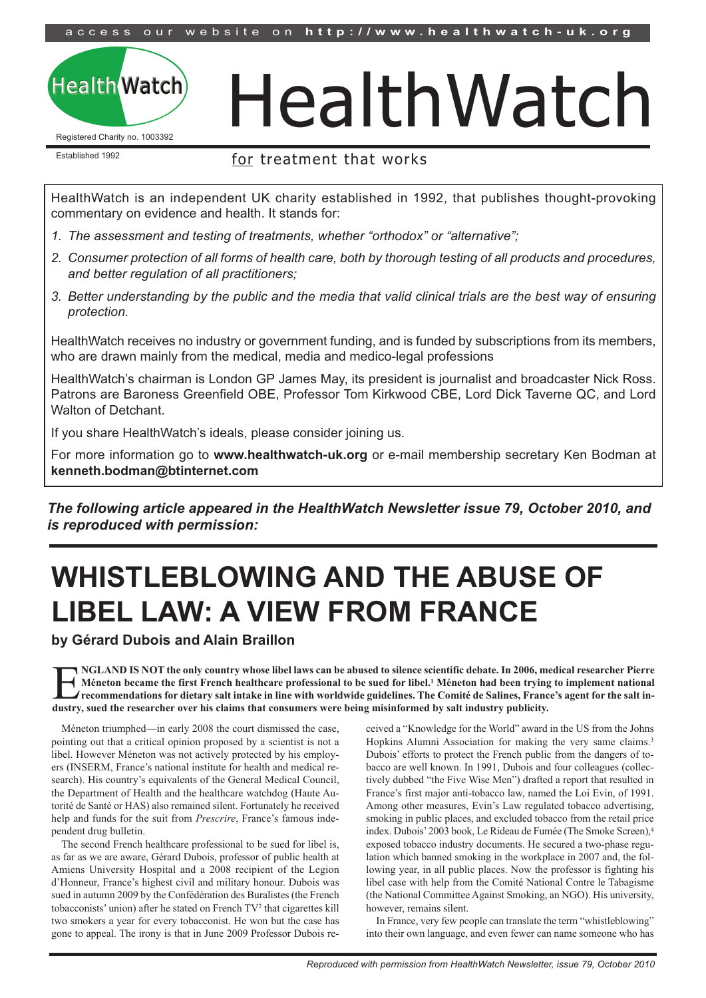access our website on http://www.healthwatch-uk.org

## **Health Watch**

Registered Charity no. 1003392

# HealthWatch

Established 1992

## for treatment that works

HealthWatch is an independent UK charity established in 1992, that publishes thought-provoking commentary on evidence and health. It stands for:

- *1. The assessment and testing of treatments, whether "orthodox" or "alternative";*
- 2. Consumer protection of all forms of health care, both by thorough testing of all products and procedures, *and better regulation of all practitioners;*
- 3. Better understanding by the public and the media that valid clinical trials are the best way of ensuring *protection.*

HealthWatch receives no industry or government funding, and is funded by subscriptions from its members, who are drawn mainly from the medical, media and medico-legal professions

HealthWatch's chairman is London GP James May, its president is journalist and broadcaster Nick Ross. Patrons are Baroness Greenfield OBE, Professor Tom Kirkwood CBE, Lord Dick Taverne QC, and Lord Walton of Detchant.

If you share HealthWatch's ideals, please consider joining us.

For more information go to **www.healthwatch-uk.org** or e-mail membership secretary Ken Bodman at **kenneth.bodman@btinternet.com**

*The following article appeared in the HealthWatch Newsletter issue 79, October 2010, and is reproduced with permission:*

## **WHISTLEBLOWING AND THE ABUSE OF LIBEL LAW: A VIEW FROM FRANCE**

**by Gérard Dubois and Alain Braillon**

NGLAND IS NOT the only country whose libel laws can be abused to silence scientific debate. In 2006, medical researcher Pierre<br>Méneton became the first French healthcare professional to be sued for libel.<sup>1</sup> Méneton had be Méneton became the first French healthcare professional to be sued for libel.<sup>1</sup> Méneton had been trying to implement national recommendations for dietary salt intake in line with worldwide guidelines. The Comité de Salines, France's agent for the salt in**dustry, sued the researcher over his claims that consumers were being misinformed by salt industry publicity.**

Méneton triumphed—in early 2008 the court dismissed the case, pointing out that a critical opinion proposed by a scientist is not a libel. However Méneton was not actively protected by his employers (INSERM, France's national institute for health and medical research). His country's equivalents of the General Medical Council, the Department of Health and the healthcare watchdog (Haute Autorité de Santé or HAS) also remained silent. Fortunately he received help and funds for the suit from *Prescrire*, France's famous independent drug bulletin.

The second French healthcare professional to be sued for libel is, as far as we are aware, Gérard Dubois, professor of public health at Amiens University Hospital and a 2008 recipient of the Legion d'Honneur, France's highest civil and military honour. Dubois was sued in autumn 2009 by the Confédération des Buralistes (the French tobacconists' union) after he stated on French TV2 that cigarettes kill two smokers a year for every tobacconist. He won but the case has gone to appeal. The irony is that in June 2009 Professor Dubois received a "Knowledge for the World" award in the US from the Johns Hopkins Alumni Association for making the very same claims.<sup>3</sup> Dubois' efforts to protect the French public from the dangers of tobacco are well known. In 1991, Dubois and four colleagues (collectively dubbed "the Five Wise Men") drafted a report that resulted in France's first major anti-tobacco law, named the Loi Evin, of 1991. Among other measures, Evin's Law regulated tobacco advertising, smoking in public places, and excluded tobacco from the retail price index. Dubois'2003 book, Le Rideau de Fumée (The Smoke Screen), 4 exposed tobacco industry documents. He secured a two-phase regulation which banned smoking in the workplace in 2007 and, the following year, in all public places. Now the professor is fighting his libel case with help from the Comité National Contre le Tabagisme (the National Committee Against Smoking, an NGO). His university, however, remains silent.

In France, very few people can translate the term "whistleblowing" into their own language, and even fewer can name someone who has